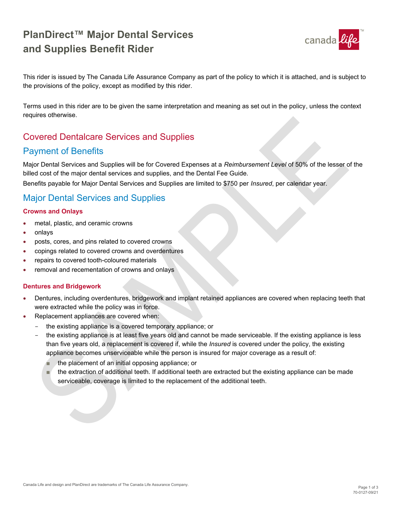# **PlanDirect™ Major Dental Services and Supplies Benefit Rider**



This rider is issued by The Canada Life Assurance Company as part of the policy to which it is attached, and is subject to the provisions of the policy, except as modified by this rider.

Terms used in this rider are to be given the same interpretation and meaning as set out in the policy, unless the context requires otherwise.

## Covered Dentalcare Services and Supplies

## Payment of Benefits

Major Dental Services and Supplies will be for Covered Expenses at a *Reimbursement Level* of 50% of the lesser of the billed cost of the major dental services and supplies, and the Dental Fee Guide.

Benefits payable for Major Dental Services and Supplies are limited to \$750 per *Insured*, per calendar year.

## Major Dental Services and Supplies

#### **Crowns and Onlays**

- metal, plastic, and ceramic crowns
- onlays
- posts, cores, and pins related to covered crowns
- copings related to covered crowns and overdentures
- repairs to covered tooth-coloured materials
- removal and recementation of crowns and onlays

#### **Dentures and Bridgework**

- Dentures, including overdentures, bridgework and implant retained appliances are covered when replacing teeth that were extracted while the policy was in force.
- Replacement appliances are covered when:
	- the existing appliance is a covered temporary appliance; or
	- the existing appliance is at least five years old and cannot be made serviceable. If the existing appliance is less than five years old, a replacement is covered if, while the *Insured* is covered under the policy, the existing appliance becomes unserviceable while the person is insured for major coverage as a result of:
		- the placement of an initial opposing appliance; or
		- the extraction of additional teeth. If additional teeth are extracted but the existing appliance can be made serviceable, coverage is limited to the replacement of the additional teeth.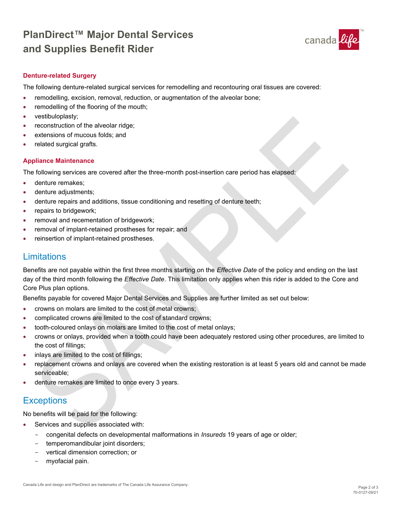# **PlanDirect™ Major Dental Services and Supplies Benefit Rider**



#### **Denture-related Surgery**

The following denture-related surgical services for remodelling and recontouring oral tissues are covered:

- remodelling, excision, removal, reduction, or augmentation of the alveolar bone;
- remodelling of the flooring of the mouth;
- vestibuloplasty;
- reconstruction of the alveolar ridge;
- extensions of mucous folds; and
- related surgical grafts.

#### **Appliance Maintenance**

The following services are covered after the three-month post-insertion care period has elapsed:

- denture remakes:
- denture adjustments;
- denture repairs and additions, tissue conditioning and resetting of denture teeth;
- repairs to bridgework;
- removal and recementation of bridgework;
- removal of implant-retained prostheses for repair; and
- reinsertion of implant-retained prostheses.

### **Limitations**

Benefits are not payable within the first three months starting on the *Effective Date* of the policy and ending on the last day of the third month following the *Effective Date*. This limitation only applies when this rider is added to the Core and Core Plus plan options.

Benefits payable for covered Major Dental Services and Supplies are further limited as set out below:

- crowns on molars are limited to the cost of metal crowns;
- complicated crowns are limited to the cost of standard crowns;
- tooth-coloured onlays on molars are limited to the cost of metal onlays;
- crowns or onlays, provided when a tooth could have been adequately restored using other procedures, are limited to the cost of fillings;
- inlays are limited to the cost of fillings;
- replacement crowns and onlays are covered when the existing restoration is at least 5 years old and cannot be made serviceable;
- denture remakes are limited to once every 3 years.

## **Exceptions**

No benefits will be paid for the following:

- Services and supplies associated with:
	- congenital defects on developmental malformations in *Insureds* 19 years of age or older;
	- temperomandibular joint disorders;
	- vertical dimension correction; or
	- myofacial pain.